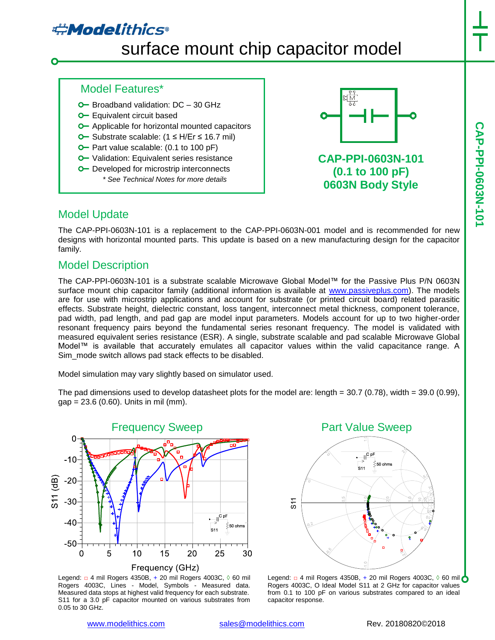## **#Modelithics**

# surface mount chip capacitor model

- $O$  Broadband validation:  $DC 30$  GHz
- **O** Equivalent circuit based

Model Features\*

- **o** Applicable for horizontal mounted capacitors
- Substrate scalable: (1 ≤ H/Er ≤ 16.7 mil)
- **O** Part value scalable: (0.1 to 100 pF)
- **O** Validation: Equivalent series resistance
- **O** Developed for microstrip interconnects *\* See Technical Notes for more details*



**CAP-PPI-0603N-101 (0.1 to 100 pF) 0603N Body Style**

#### Model Update

The CAP-PPI-0603N-101 is a replacement to the CAP-PPI-0603N-001 model and is recommended for new designs with horizontal mounted parts. This update is based on a new manufacturing design for the capacitor family.

#### Model Description

The CAP-PPI-0603N-101 is a substrate scalable Microwave Global Model™ for the Passive Plus P/N 0603N surface mount chip capacitor family (additional information is available at [www.passiveplus.com\)](http://www.passiveplus.com/). The models are for use with microstrip applications and account for substrate (or printed circuit board) related parasitic effects. Substrate height, dielectric constant, loss tangent, interconnect metal thickness, component tolerance, pad width, pad length, and pad gap are model input parameters. Models account for up to two higher-order resonant frequency pairs beyond the fundamental series resonant frequency. The model is validated with measured equivalent series resistance (ESR). A single, substrate scalable and pad scalable Microwave Global Model™ is available that accurately emulates all capacitor values within the valid capacitance range. A Sim\_mode switch allows pad stack effects to be disabled.

Model simulation may vary slightly based on simulator used.

The pad dimensions used to develop datasheet plots for the model are: length =  $30.7$  (0.78), width =  $39.0$  (0.99),  $gap = 23.6 (0.60)$ . Units in mil (mm).



Legend: □ 4 mil Rogers 4350B, + 20 mil Rogers 4003C, ◊ 60 mil Rogers 4003C, Lines - Model, Symbols - Measured data. Measured data stops at highest valid frequency for each substrate. S11 for a 3.0 pF capacitor mounted on various substrates from 0.05 to 30 GHz.

Part Value Sweep



Legend: □ 4 mil Rogers 4350B, + 20 mil Rogers 4003C, 0 60 mil O Rogers 4003C, O Ideal Model S11 at 2 GHz for capacitor values from 0.1 to 100 pF on various substrates compared to an ideal capacitor response.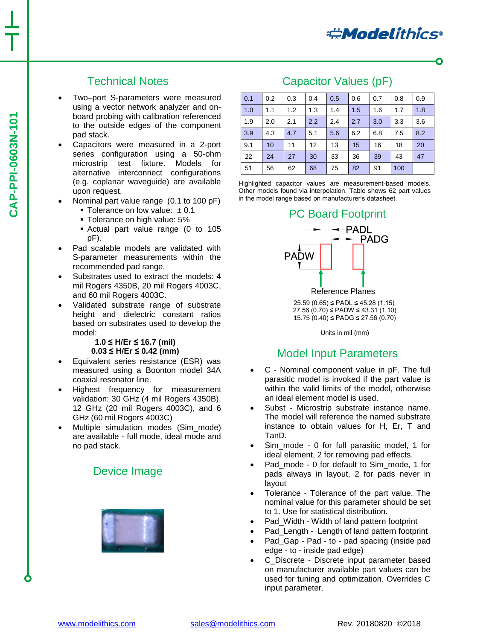#### Technical Notes

- Two–port S-parameters were measured using a vector network analyzer and onboard probing with calibration referenced to the outside edges of the component pad stack.
- Capacitors were measured in a 2-port series configuration using a 50-ohm microstrip test fixture. Models for alternative interconnect configurations (e.g. coplanar waveguide) are available upon request.
- Nominal part value range (0.1 to 100 pF)
	- Tolerance on low value:  $±0.1$
	- Tolerance on high value: 5%
	- Actual part value range (0 to 105 pF).
- Pad scalable models are validated with S-parameter measurements within the recommended pad range.
- Substrates used to extract the models: 4 mil Rogers 4350B, 20 mil Rogers 4003C, and 60 mil Rogers 4003C.
- Validated substrate range of substrate height and dielectric constant ratios based on substrates used to develop the model:

#### **1.0 ≤ H/Er ≤ 16.7 (mil) 0.03 ≤ H/Er ≤ 0.42 (mm)**

- Equivalent series resistance (ESR) was measured using a Boonton model 34A coaxial resonator line.
- Highest frequency for measurement validation: 30 GHz (4 mil Rogers 4350B), 12 GHz (20 mil Rogers 4003C), and 6 GHz (60 mil Rogers 4003C)
- Multiple simulation modes (Sim\_mode) are available - full mode, ideal mode and no pad stack.

#### Device Image



#### Capacitor Values (pF)

| 0.1 | 0.2 | 0.3 | 0.4 | 0.5 | 0.6 | 0.7 | 0.8 | 0.9 |
|-----|-----|-----|-----|-----|-----|-----|-----|-----|
| 1.0 | 1.1 | 1.2 | 1.3 | 1.4 | 1.5 | 1.6 | 1.7 | 1.8 |
| 1.9 | 2.0 | 2.1 | 2.2 | 2.4 | 2.7 | 3.0 | 3.3 | 3.6 |
| 3.9 | 4.3 | 4.7 | 5.1 | 5.6 | 6.2 | 6.8 | 7.5 | 8.2 |
| 9.1 | 10  | 11  | 12  | 13  | 15  | 16  | 18  | 20  |
| 22  | 24  | 27  | 30  | 33  | 36  | 39  | 43  | 47  |
| 51  | 56  | 62  | 68  | 75  | 82  | 91  | 100 |     |

Highlighted capacitor values are measurement-based models. Other models found via interpolation. Table shows 62 part values in the model range based on manufacturer's datasheet.

#### PC Board Footprint



 25.59 (0.65) ≤ PADL ≤ 45.28 (1.15) 27.56 (0.70) ≤ PADW ≤ 43.31 (1.10) 15.75 (0.40) ≤ PADG ≤ 27.56 (0.70)

Units in mil (mm)

#### Model Input Parameters

- C Nominal component value in pF. The full parasitic model is invoked if the part value is within the valid limits of the model, otherwise an ideal element model is used.
- Subst Microstrip substrate instance name. The model will reference the named substrate instance to obtain values for H, Er, T and TanD.
- Sim\_mode 0 for full parasitic model, 1 for ideal element, 2 for removing pad effects.
- Pad\_mode 0 for default to Sim\_mode, 1 for pads always in layout, 2 for pads never in layout
- Tolerance Tolerance of the part value. The nominal value for this parameter should be set to 1. Use for statistical distribution.
- Pad\_Width Width of land pattern footprint
- Pad Length Length of land pattern footprint
- Pad\_Gap Pad to pad spacing (inside pad edge - to - inside pad edge)
- C\_Discrete Discrete input parameter based on manufacturer available part values can be used for tuning and optimization. Overrides C input parameter.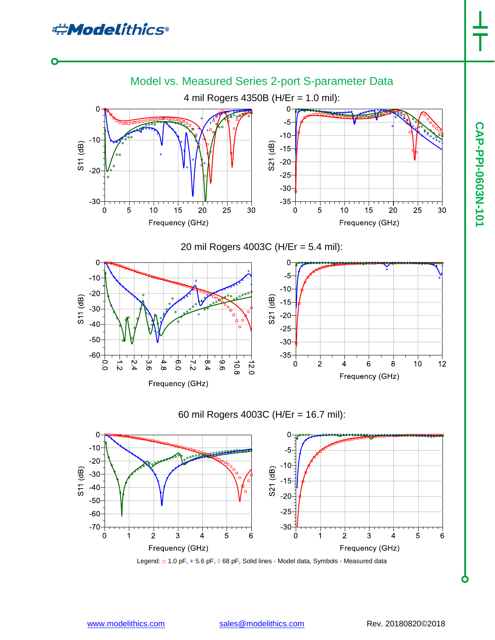

Frequency (GHz)

60 mil Rogers 4003C (H/Er = 16.7 mil):



Legend: □ 1.0 pF, + 5.6 pF, ◊ 68 pF, Solid lines - Model data, Symbols - Measured data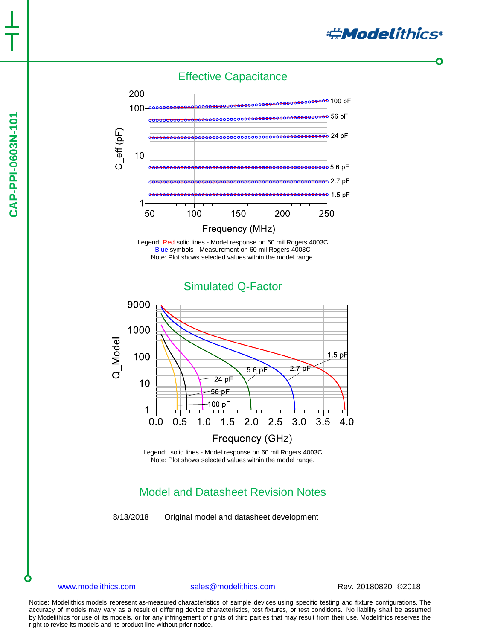

#### Effective Capacitance







Legend: solid lines - Model response on 60 mil Rogers 4003C Note: Plot shows selected values within the model range.

### Model and Datasheet Revision Notes

8/13/2018 Original model and datasheet development

[www.modelithics.com](http://www.modelithics.com/) [sales@modelithics.com](mailto:sales@modelithics.com) Rev. 20180820 ©2018

Notice: Modelithics models represent as-measured characteristics of sample devices using specific testing and fixture configurations. The accuracy of models may vary as a result of differing device characteristics, test fixtures, or test conditions. No liability shall be assumed by Modelithics for use of its models, or for any infringement of rights of third parties that may result from their use. Modelithics reserves the right to revise its models and its product line without prior notice.